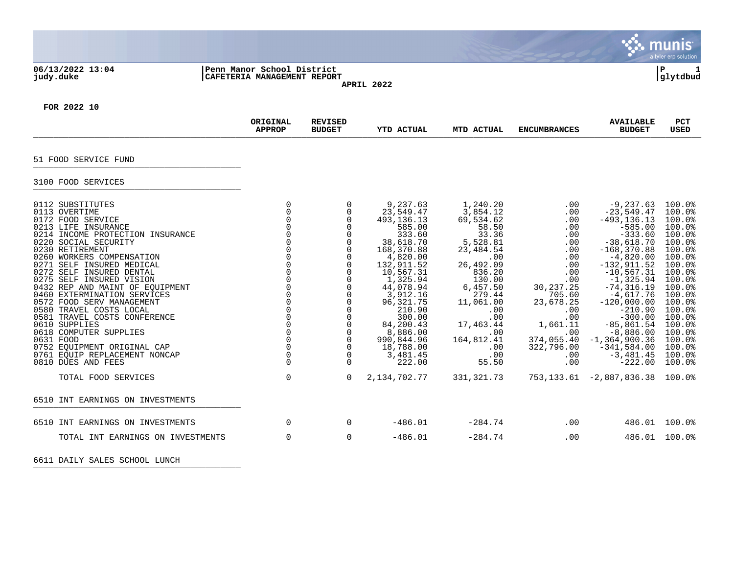|                                                                                                                                                                                                                                                                                                                                                                                                                                                                                                                                                                                                    |                                                                                                                                                                                                                                                                                  |                                                                                                                                                                                                                                                                        |                                                                                                                                                                                                                                                                              |                                                                                                                                                                                                                                 |                                                                                                                                                                                           |                                                                                                                                                                                                                                                                                                                                                          | munis<br>a tyler erp solution                                                                                                                                                                                            |
|----------------------------------------------------------------------------------------------------------------------------------------------------------------------------------------------------------------------------------------------------------------------------------------------------------------------------------------------------------------------------------------------------------------------------------------------------------------------------------------------------------------------------------------------------------------------------------------------------|----------------------------------------------------------------------------------------------------------------------------------------------------------------------------------------------------------------------------------------------------------------------------------|------------------------------------------------------------------------------------------------------------------------------------------------------------------------------------------------------------------------------------------------------------------------|------------------------------------------------------------------------------------------------------------------------------------------------------------------------------------------------------------------------------------------------------------------------------|---------------------------------------------------------------------------------------------------------------------------------------------------------------------------------------------------------------------------------|-------------------------------------------------------------------------------------------------------------------------------------------------------------------------------------------|----------------------------------------------------------------------------------------------------------------------------------------------------------------------------------------------------------------------------------------------------------------------------------------------------------------------------------------------------------|--------------------------------------------------------------------------------------------------------------------------------------------------------------------------------------------------------------------------|
| 06/13/2022 13:04<br>judy.duke                                                                                                                                                                                                                                                                                                                                                                                                                                                                                                                                                                      | Penn Manor School District<br>CAFETERIA MANAGEMENT REPORT                                                                                                                                                                                                                        |                                                                                                                                                                                                                                                                        | APRIL 2022                                                                                                                                                                                                                                                                   |                                                                                                                                                                                                                                 |                                                                                                                                                                                           |                                                                                                                                                                                                                                                                                                                                                          | ΙP<br>glytdbud                                                                                                                                                                                                           |
| FOR 2022 10                                                                                                                                                                                                                                                                                                                                                                                                                                                                                                                                                                                        |                                                                                                                                                                                                                                                                                  |                                                                                                                                                                                                                                                                        |                                                                                                                                                                                                                                                                              |                                                                                                                                                                                                                                 |                                                                                                                                                                                           |                                                                                                                                                                                                                                                                                                                                                          |                                                                                                                                                                                                                          |
|                                                                                                                                                                                                                                                                                                                                                                                                                                                                                                                                                                                                    | ORIGINAL<br><b>APPROP</b>                                                                                                                                                                                                                                                        | <b>REVISED</b><br><b>BUDGET</b>                                                                                                                                                                                                                                        | YTD ACTUAL                                                                                                                                                                                                                                                                   | MTD ACTUAL                                                                                                                                                                                                                      | <b>ENCUMBRANCES</b>                                                                                                                                                                       | <b>AVAILABLE</b><br><b>BUDGET</b>                                                                                                                                                                                                                                                                                                                        | <b>PCT</b><br><b>USED</b>                                                                                                                                                                                                |
| 51 FOOD SERVICE FUND                                                                                                                                                                                                                                                                                                                                                                                                                                                                                                                                                                               |                                                                                                                                                                                                                                                                                  |                                                                                                                                                                                                                                                                        |                                                                                                                                                                                                                                                                              |                                                                                                                                                                                                                                 |                                                                                                                                                                                           |                                                                                                                                                                                                                                                                                                                                                          |                                                                                                                                                                                                                          |
| 3100 FOOD SERVICES                                                                                                                                                                                                                                                                                                                                                                                                                                                                                                                                                                                 |                                                                                                                                                                                                                                                                                  |                                                                                                                                                                                                                                                                        |                                                                                                                                                                                                                                                                              |                                                                                                                                                                                                                                 |                                                                                                                                                                                           |                                                                                                                                                                                                                                                                                                                                                          |                                                                                                                                                                                                                          |
| 0112 SUBSTITUTES<br>0113<br>OVERTIME<br>0172 FOOD SERVICE<br>0213 LIFE INSURANCE<br>0214 INCOME PROTECTION INSURANCE<br>0220 SOCIAL SECURITY<br>0230 RETIREMENT<br>0260 WORKERS COMPENSATION<br>0271 SELF INSURED MEDICAL<br>0272 SELF INSURED DENTAL<br>0275<br>SELF INSURED VISION<br>0432 REP AND MAINT OF EQUIPMENT<br>EXTERMINATION SERVICES<br>0460<br>0572 FOOD SERV MANAGEMENT<br>TRAVEL COSTS LOCAL<br>0580<br>0581 TRAVEL COSTS CONFERENCE<br>0610 SUPPLIES<br>0618 COMPUTER SUPPLIES<br>0631 FOOD<br>0752 EOUIPMENT ORIGINAL CAP<br>0761 EQUIP REPLACEMENT NONCAP<br>0810 DUES AND FEES | $\mathbf 0$<br>$\Omega$<br>$\Omega$<br>$\Omega$<br>$\Omega$<br>$\Omega$<br>$\Omega$<br>$\Omega$<br>$\Omega$<br>$\Omega$<br>$\mathbf 0$<br>$\Omega$<br>$\Omega$<br>$\Omega$<br>$\Omega$<br>$\mathbf 0$<br>$\Omega$<br>$\Omega$<br>$\mathbf 0$<br>$\Omega$<br>$\Omega$<br>$\Omega$ | $\Omega$<br>0<br>$\Omega$<br>$\Omega$<br>$\Omega$<br>$\mathbf 0$<br>$\mathbf 0$<br>$\mathbf 0$<br>$\Omega$<br>$\Omega$<br>0<br>$\Omega$<br>$\mathbf 0$<br>$\mathbf 0$<br>$\Omega$<br>0<br>0<br>$\overline{0}$<br>$\overline{0}$<br>$\mathbf 0$<br>$\Omega$<br>$\Omega$ | 9,237.63<br>23,549.47<br>493, 136. 13<br>585.00<br>333.60<br>38,618.70<br>168,370.88<br>4,820.00<br>132,911.52<br>10,567.31<br>1,325.94<br>44,078.94<br>3,912.16<br>96, 321.75<br>210.90<br>300.00<br>84,200.43<br>8,886.00<br>990,844.96<br>18,788.00<br>3,481.45<br>222.00 | 1,240.20<br>3,854.12<br>69,534.62<br>58.50<br>33.36<br>5,528.81<br>23,484.54<br>.00<br>26,492.09<br>836.20<br>130.00<br>6,457.50<br>279.44<br>11,061.00<br>.00<br>.00<br>17,463.44<br>.00.<br>164,812.41<br>.00<br>.00<br>55.50 | .00<br>.00<br>.00<br>.00<br>.00<br>.00<br>.00<br>.00<br>.00<br>.00<br>.00<br>30, 237.25<br>705.60<br>23,678.25<br>.00<br>.00<br>1,661.11<br>.00<br>374,055.40<br>322,796.00<br>.00<br>.00 | $-9,237.63$<br>$-23, 549.47$<br>$-493, 136.13$<br>$-585.00$<br>$-333.60$<br>$-38,618.70$<br>$-168, 370.88$<br>$-4,820.00$<br>$-132,911.52$<br>$-10, 567.31$<br>$-1, 325.94$<br>$-74, 316.19$<br>$-4,617.76$<br>$-120,000.00$<br>$-210.90$<br>$-300.00$<br>$-85, 861.54$<br>$-8,886.00$<br>$-1, 364, 900.36$<br>$-341,584.00$<br>$-3,481.45$<br>$-222.00$ | 100.0%<br>100.0%<br>100.0%<br>100.0%<br>100.0%<br>100.0%<br>100.0%<br>100.0%<br>100.0%<br>100.0%<br>100.0%<br>100.0%<br>100.0%<br>100.0%<br>100.0%<br>100.0%<br>100.0%<br>100.0%<br>100.0%<br>100.0%<br>100.0%<br>100.0% |
| TOTAL FOOD SERVICES                                                                                                                                                                                                                                                                                                                                                                                                                                                                                                                                                                                | $\Omega$                                                                                                                                                                                                                                                                         | $\Omega$                                                                                                                                                                                                                                                               | 2, 134, 702. 77                                                                                                                                                                                                                                                              | 331, 321. 73                                                                                                                                                                                                                    |                                                                                                                                                                                           | 753, 133.61 - 2, 887, 836.38                                                                                                                                                                                                                                                                                                                             | 100.0%                                                                                                                                                                                                                   |
| 6510 INT EARNINGS ON INVESTMENTS                                                                                                                                                                                                                                                                                                                                                                                                                                                                                                                                                                   |                                                                                                                                                                                                                                                                                  |                                                                                                                                                                                                                                                                        |                                                                                                                                                                                                                                                                              |                                                                                                                                                                                                                                 |                                                                                                                                                                                           |                                                                                                                                                                                                                                                                                                                                                          |                                                                                                                                                                                                                          |
| 6510 INT EARNINGS ON INVESTMENTS                                                                                                                                                                                                                                                                                                                                                                                                                                                                                                                                                                   | $\Omega$                                                                                                                                                                                                                                                                         | $\Omega$                                                                                                                                                                                                                                                               | $-486.01$                                                                                                                                                                                                                                                                    | $-284.74$                                                                                                                                                                                                                       | .00.                                                                                                                                                                                      |                                                                                                                                                                                                                                                                                                                                                          | 486.01 100.0%                                                                                                                                                                                                            |
| TOTAL INT EARNINGS ON INVESTMENTS                                                                                                                                                                                                                                                                                                                                                                                                                                                                                                                                                                  | 0                                                                                                                                                                                                                                                                                | 0                                                                                                                                                                                                                                                                      | $-486.01$                                                                                                                                                                                                                                                                    | $-284.74$                                                                                                                                                                                                                       | .00                                                                                                                                                                                       |                                                                                                                                                                                                                                                                                                                                                          | 486.01 100.0%                                                                                                                                                                                                            |

6611 DAILY SALES SCHOOL LUNCH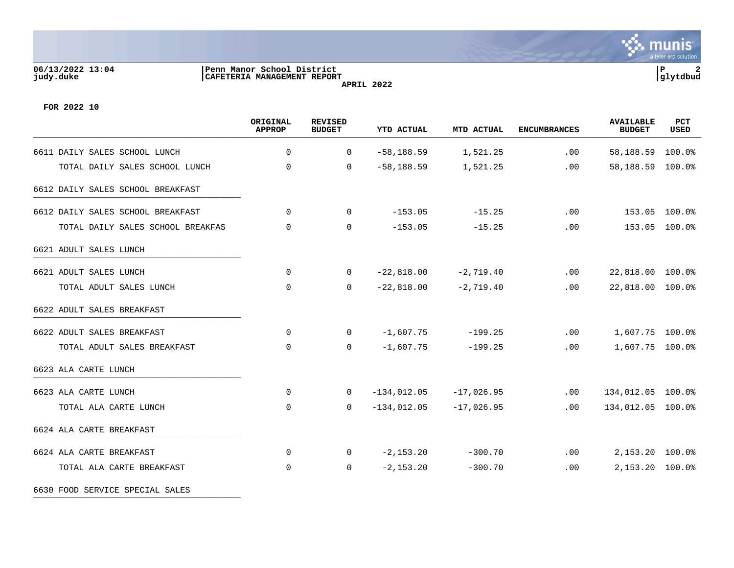## **06/13/2022 13:04 |Penn Manor School District |P 2 judy.duke |CAFETERIA MANAGEMENT REPORT |glytdbud APRIL 2022**



**FOR 2022 10**

|                                   | ORIGINAL<br><b>APPROP</b> | <b>REVISED</b><br><b>BUDGET</b> | <b>YTD ACTUAL</b> | MTD ACTUAL   | <b>ENCUMBRANCES</b> | <b>AVAILABLE</b><br><b>BUDGET</b> | PCT<br><b>USED</b> |
|-----------------------------------|---------------------------|---------------------------------|-------------------|--------------|---------------------|-----------------------------------|--------------------|
| 6611 DAILY SALES SCHOOL LUNCH     | $\Omega$                  | $\mathbf 0$                     | $-58, 188.59$     | 1,521.25     | .00                 | 58,188.59                         | 100.0%             |
| TOTAL DAILY SALES SCHOOL LUNCH    | $\mathbf 0$               | 0                               | $-58, 188.59$     | 1,521.25     | .00                 | 58,188.59                         | 100.0%             |
| 6612 DAILY SALES SCHOOL BREAKFAST |                           |                                 |                   |              |                     |                                   |                    |
| 6612 DAILY SALES SCHOOL BREAKFAST | $\Omega$                  | $\Omega$                        | $-153.05$         | $-15.25$     | .00                 |                                   | 153.05 100.0%      |
| TOTAL DAILY SALES SCHOOL BREAKFAS | $\mathbf 0$               | $\Omega$                        | $-153.05$         | $-15.25$     | .00                 |                                   | 153.05 100.0%      |
| 6621 ADULT SALES LUNCH            |                           |                                 |                   |              |                     |                                   |                    |
| 6621 ADULT SALES LUNCH            | $\mathbf 0$               | $\overline{0}$                  | $-22,818.00$      | $-2,719.40$  | .00                 | 22,818.00 100.0%                  |                    |
| TOTAL ADULT SALES LUNCH           | $\Omega$                  | $\Omega$                        | $-22,818.00$      | $-2,719.40$  | .00                 | 22,818.00 100.0%                  |                    |
| 6622 ADULT SALES BREAKFAST        |                           |                                 |                   |              |                     |                                   |                    |
| 6622 ADULT SALES BREAKFAST        | 0                         | $\overline{0}$                  | $-1,607.75$       | $-199.25$    | .00                 | 1,607.75 100.0%                   |                    |
| TOTAL ADULT SALES BREAKFAST       | $\mathbf 0$               | $\mathbf 0$                     | $-1,607.75$       | $-199.25$    | .00                 | 1,607.75 100.0%                   |                    |
| 6623 ALA CARTE LUNCH              |                           |                                 |                   |              |                     |                                   |                    |
| 6623 ALA CARTE LUNCH              | $\Omega$                  | $\mathbf 0$                     | $-134,012.05$     | $-17,026.95$ | .00                 | 134,012.05 100.0%                 |                    |
| TOTAL ALA CARTE LUNCH             | 0                         | 0                               | $-134,012.05$     | $-17,026.95$ | .00                 | 134,012.05 100.0%                 |                    |
| 6624 ALA CARTE BREAKFAST          |                           |                                 |                   |              |                     |                                   |                    |
| 6624 ALA CARTE BREAKFAST          | $\mathbf 0$               | 0                               | $-2, 153.20$      | $-300.70$    | .00                 | 2,153.20 100.0%                   |                    |
| TOTAL ALA CARTE BREAKFAST         | 0                         | 0                               | $-2, 153.20$      | $-300.70$    | .00                 | 2,153.20 100.0%                   |                    |

6630 FOOD SERVICE SPECIAL SALES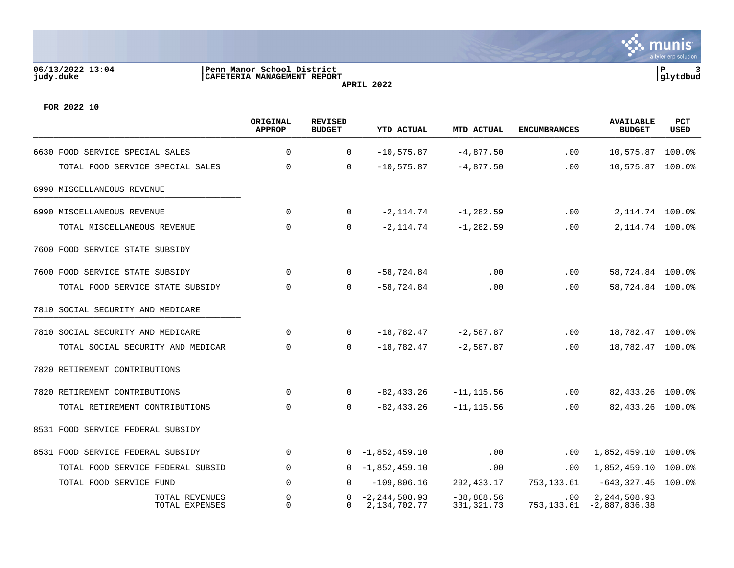## **06/13/2022 13:04 |Penn Manor School District |P 3 judy.duke |CAFETERIA MANAGEMENT REPORT |glytdbud APRIL 2022**



**FOR 2022 10**

|                                   |                                   | ORIGINAL<br>APPROP | <b>REVISED</b><br><b>BUDGET</b> | YTD ACTUAL                        | MTD ACTUAL                   | <b>ENCUMBRANCES</b> | <b>AVAILABLE</b><br><b>BUDGET</b>            | <b>PCT</b><br><b>USED</b> |
|-----------------------------------|-----------------------------------|--------------------|---------------------------------|-----------------------------------|------------------------------|---------------------|----------------------------------------------|---------------------------|
| 6630 FOOD SERVICE SPECIAL SALES   |                                   | $\mathbf 0$        | $\mathbf 0$                     | $-10, 575.87$                     | $-4,877.50$                  | $.00 \ \rm$         | 10,575.87                                    | $100.0$ °                 |
|                                   | TOTAL FOOD SERVICE SPECIAL SALES  | $\Omega$           | $\Omega$                        | $-10,575.87$                      | $-4,877.50$                  | .00                 | 10,575.87                                    | 100.0%                    |
| 6990 MISCELLANEOUS REVENUE        |                                   |                    |                                 |                                   |                              |                     |                                              |                           |
| 6990 MISCELLANEOUS REVENUE        |                                   | $\Omega$           | $\Omega$                        | $-2, 114.74$                      | $-1, 282.59$                 | .00                 | 2, 114.74 100.0%                             |                           |
| TOTAL MISCELLANEOUS REVENUE       |                                   | $\mathbf 0$        | $\mathbf 0$                     | $-2, 114.74$                      | $-1, 282.59$                 | $.00 \ \rm$         | 2, 114.74 100.0%                             |                           |
| 7600 FOOD SERVICE STATE SUBSIDY   |                                   |                    |                                 |                                   |                              |                     |                                              |                           |
| 7600 FOOD SERVICE STATE SUBSIDY   |                                   | 0                  | $\Omega$                        | $-58,724.84$                      | .00                          | $.00 \ \rm$         | 58,724.84 100.0%                             |                           |
|                                   | TOTAL FOOD SERVICE STATE SUBSIDY  | 0                  | $\Omega$                        | $-58,724.84$                      | .00                          | $.00 \,$            | 58,724.84 100.0%                             |                           |
| 7810 SOCIAL SECURITY AND MEDICARE |                                   |                    |                                 |                                   |                              |                     |                                              |                           |
| 7810 SOCIAL SECURITY AND MEDICARE |                                   | $\Omega$           | $\Omega$                        | $-18,782.47$                      | $-2,587.87$                  | $.00 \,$            | 18,782.47 100.0%                             |                           |
|                                   | TOTAL SOCIAL SECURITY AND MEDICAR | $\mathbf 0$        | $\mathbf 0$                     | $-18,782.47$                      | $-2,587.87$                  | .00                 | 18,782.47 100.0%                             |                           |
| 7820 RETIREMENT CONTRIBUTIONS     |                                   |                    |                                 |                                   |                              |                     |                                              |                           |
| 7820 RETIREMENT CONTRIBUTIONS     |                                   | 0                  | 0                               | $-82, 433.26$                     | $-11, 115.56$                | $.00 \ \rm$         | 82, 433. 26 100. 0%                          |                           |
|                                   | TOTAL RETIREMENT CONTRIBUTIONS    | $\Omega$           | $\Omega$                        | $-82, 433.26$                     | $-11, 115.56$                | $.00 \,$            | 82,433.26 100.0%                             |                           |
| 8531 FOOD SERVICE FEDERAL SUBSIDY |                                   |                    |                                 |                                   |                              |                     |                                              |                           |
| 8531 FOOD SERVICE FEDERAL SUBSIDY |                                   | $\mathbf 0$        |                                 | $0 - 1,852,459.10$                | .00                          | $.00 \ \rm$         | 1,852,459.10                                 | $100.0$ °                 |
|                                   | TOTAL FOOD SERVICE FEDERAL SUBSID | $\Omega$           | $\Omega$                        | $-1,852,459.10$                   | .00                          | $.00 \,$            | 1,852,459.10                                 | 100.0%                    |
| TOTAL FOOD SERVICE FUND           |                                   | 0                  | $\Omega$                        | $-109,806.16$                     | 292,433.17                   | 753,133.61          | $-643, 327.45$                               | $100.0$ $^{\circ}$        |
|                                   | TOTAL REVENUES<br>TOTAL EXPENSES  | 0<br>$\Omega$      | 0<br>0                          | $-2, 244, 508.93$<br>2,134,702.77 | $-38,888.56$<br>331, 321. 73 | $.00 \,$            | 2,244,508.93<br>753, 133.61 - 2, 887, 836.38 |                           |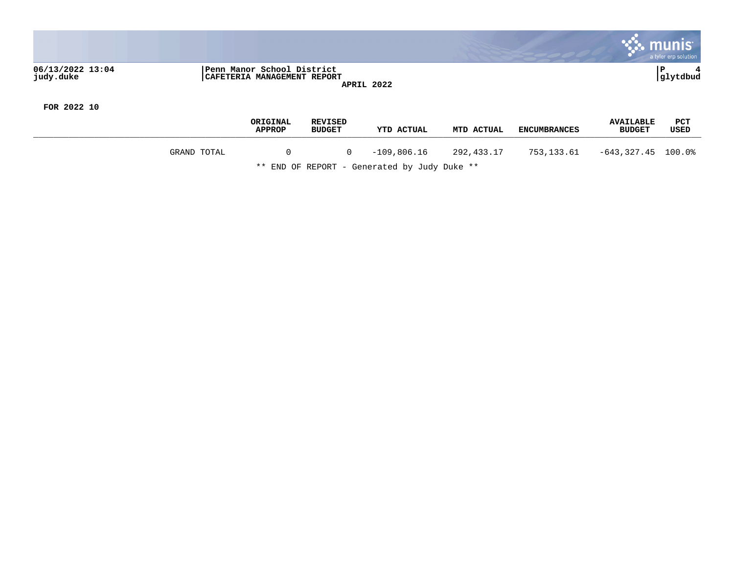

**FOR 2022 10**

|             | ORIGINAL<br><b>APPROP</b> | <b>REVISED</b><br><b>BUDGET</b> | <b>YTD ACTUAL</b> | MTD ACTUAL | <b>ENCUMBRANCES</b> | <b>AVAILABLE</b><br><b>BUDGET</b> | <b>PCT</b><br>USED |
|-------------|---------------------------|---------------------------------|-------------------|------------|---------------------|-----------------------------------|--------------------|
| GRAND TOTAL |                           | 0                               | $-109,806.16$     | 292,433.17 | 753,133.61          | -643.327.45                       | $100.0\%$          |

\*\* END OF REPORT - Generated by Judy Duke \*\*